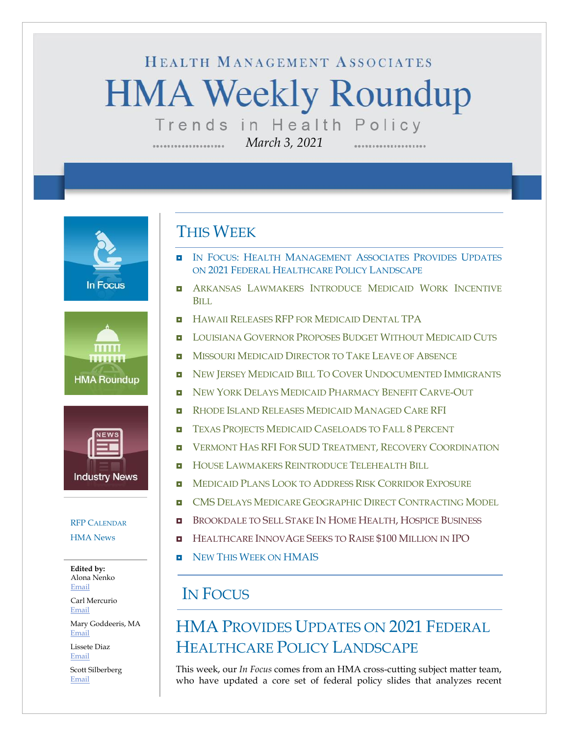# HEALTH MANAGEMENT ASSOCIATES **HMA Weekly Roundup** Trends in Health Policy

*March 3, 2021*

**In Focus** 





#### RFP C[ALENDAR](#page-10-0)

[HMA News](#page-12-1)

**Edited by:** Alona Nenko [Email](mailto:anenko@healthmanagement.com)

Carl Mercurio [Email](mailto:cmercurio@healthmanagement.com)

Mary Goddeeris, MA [Email](mailto:mgoddeeris@healthmanagement.com)

Lissete Diaz [Email](mailto:ldiaz@healthmanagement.com)

Scott Silberberg [Email](mailto:ssilberberg@healthmanagement.com)

### THIS WEEK

- **IN FOCUS: HEALTH M[ANAGEMENT](#page-0-0) ASSOCIATES PROVIDES UPDATES** ON 2021 FEDERAL H[EALTHCARE](#page-0-0) POLICY LANDSCAPE
- **B** ARKANSAS L[AWMAKERS](#page-2-0) INTRODUCE MEDICAID WORK INCENTIVE B[ILL](#page-2-0)
- **HAWAII RELEASES RFP FOR M[EDICAID](#page-2-1) DENTAL TPA**
- **L[OUISIANA](#page-3-0) GOVERNOR PROPOSES BUDGET WITHOUT MEDICAID CUTS**
- **NISSOURI MEDICAID D[IRECTOR TO](#page-3-1) TAKE LEAVE OF ABSENCE**
- NEW JERSEY MEDICAID BILL TO COVER U[NDOCUMENTED](#page-4-0) IMMIGRANTS
- **NEW YORK DELAYS MEDICAID P[HARMACY](#page-4-1) BENEFIT CARVE-OUT**
- **RHODE ISLAND RELEASES MEDICAID M[ANAGED](#page-5-0) CARE RFI**
- TEXAS PROJECTS MEDICAID C[ASELOADS TO](#page-6-0) FALL 8 PERCENT
- **U** VERMONT HAS RFI FOR SUD TREATMENT, RECOVERY C[OORDINATION](#page-6-1)
- **HOUSE LAWMAKERS R[EINTRODUCE](#page-6-2) TELEHEALTH BILL**
- **NEDICAID PLANS LOOK TO ADDRESS RISK C[ORRIDOR](#page-6-2) EXPOSURE**
- **CMS DELAYS MEDICARE GEOGRAPHIC DIRECT C[ONTRACTING](#page-6-2) MODEL**
- **B** B[ROOKDALE TO](#page-9-0) SELL STAKE IN HOME HEALTH, HOSPICE BUSINESS
- **H[EALTHCARE](#page-9-0) INNOVAGE SEEKS TO RAISE \$100 MILLION IN IPO**
- **NEW THIS WEEK ON [HMAIS](#page-12-0)**

## IN FOCUS

## <span id="page-0-0"></span>HMA PROVIDES UPDATES ON 2021 FEDERAL HEALTHCARE POLICY LANDSCAPE

This week, our *In Focus* comes from an HMA cross-cutting subject matter team, who have updated a core set of federal policy slides that analyzes recent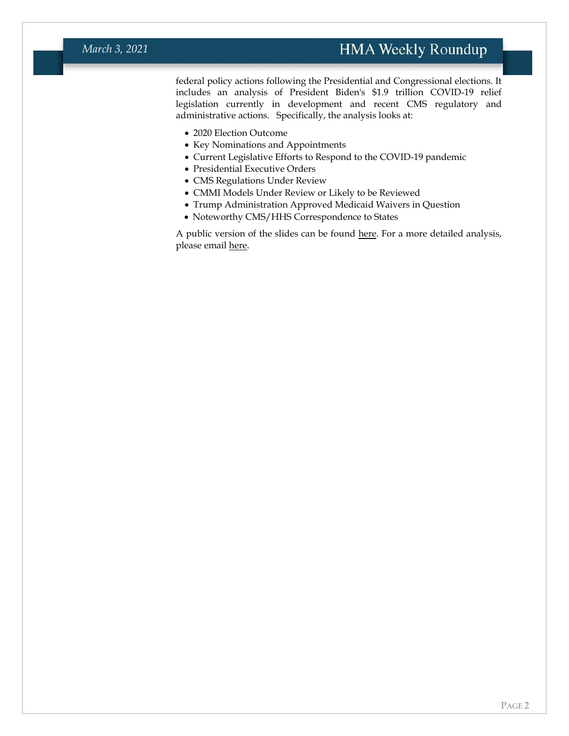#### *March 3, 2021*

### **HMA Weekly Roundup**

federal policy actions following the Presidential and Congressional elections. It includes an analysis of President Biden's \$1.9 trillion COVID-19 relief legislation currently in development and recent CMS regulatory and administrative actions. Specifically, the analysis looks at:

- 2020 Election Outcome
- Key Nominations and Appointments
- Current Legislative Efforts to Respond to the COVID-19 pandemic
- Presidential Executive Orders
- CMS Regulations Under Review
- CMMI Models Under Review or Likely to be Reviewed
- Trump Administration Approved Medicaid Waivers in Question
- Noteworthy CMS/HHS Correspondence to States

A public version of the slides can be found [here.](https://www.healthmanagement.com/wp-content/uploads/2021_Emerging_Policy_Environment_Impacts_on_Publicly_Funded_Healthcare_3.1_Abbreviated_3-3-21_HMA.pdf) For a more detailed analysis, please emai[l here.](mailto:hmais@healthmanagement.com)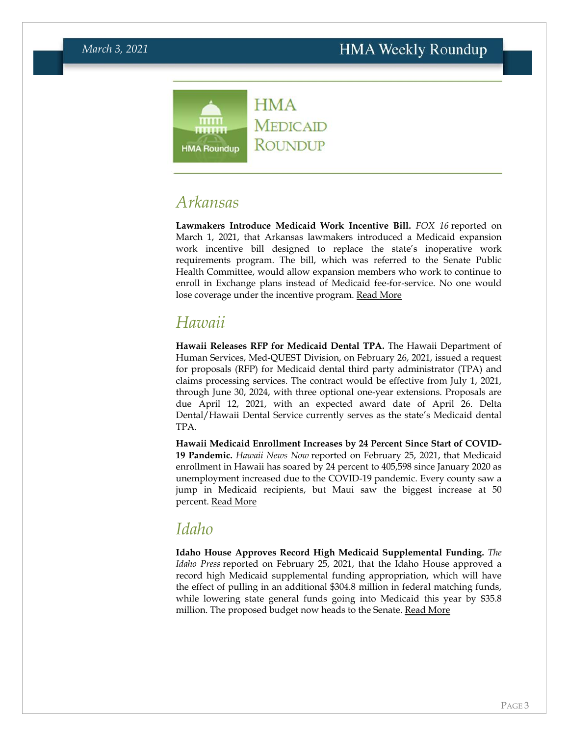

### <span id="page-2-0"></span>*Arkansas*

**Lawmakers Introduce Medicaid Work Incentive Bill.** *FOX 16* reported on March 1, 2021, that Arkansas lawmakers introduced a Medicaid expansion work incentive bill designed to replace the state's inoperative work requirements program. The bill, which was referred to the Senate Public Health Committee, would allow expansion members who work to continue to enroll in Exchange plans instead of Medicaid fee-for-service. No one would lose coverage under the incentive program. [Read More](https://www.fox16.com/news/local-news/arkansas-lawmakers-propose-new-program-to-replace-ar-works/)

## <span id="page-2-1"></span>*Hawaii*

**Hawaii Releases RFP for Medicaid Dental TPA.** The Hawaii Department of Human Services, Med-QUEST Division, on February 26, 2021, issued a request for proposals (RFP) for Medicaid dental third party administrator (TPA) and claims processing services. The contract would be effective from July 1, 2021, through June 30, 2024, with three optional one-year extensions. Proposals are due April 12, 2021, with an expected award date of April 26. Delta Dental/Hawaii Dental Service currently serves as the state's Medicaid dental TPA.

**Hawaii Medicaid Enrollment Increases by 24 Percent Since Start of COVID-19 Pandemic.** *Hawaii News Now* reported on February 25, 2021, that Medicaid enrollment in Hawaii has soared by 24 percent to 405,598 since January 2020 as unemployment increased due to the COVID-19 pandemic. Every county saw a jump in Medicaid recipients, but Maui saw the biggest increase at 50 percent. [Read More](https://www.hawaiinewsnow.com/2021/02/25/hawaii-residents-now-medicaid-after-record-setting-job-losses/)

### *Idaho*

**Idaho House Approves Record High Medicaid Supplemental Funding.** *The Idaho Press* reported on February 25, 2021, that the Idaho House approved a record high Medicaid supplemental funding appropriation, which will have the effect of pulling in an additional \$304.8 million in federal matching funds, while lowering state general funds going into Medicaid this year by \$35.8 million. The proposed budget now heads to the Senate. [Read More](https://www.idahopress.com/eyeonboise/house-passes-medicaid-supplemental-appropriation-lowers-state-funding-this-year-recognizes-increased-fed/article_8cb13ad3-b15d-5d8f-9329-cae35337e487.html)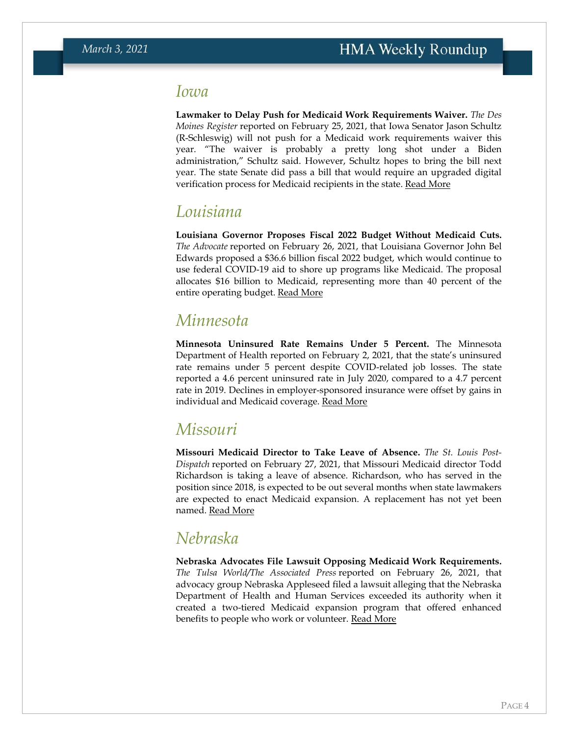### *Iowa*

**Lawmaker to Delay Push for Medicaid Work Requirements Waiver.** *The Des Moines Register* reported on February 25, 2021, that Iowa Senator Jason Schultz (R-Schleswig) will not push for a Medicaid work requirements waiver this year. "The waiver is probably a pretty long shot under a Biden administration," Schultz said. However, Schultz hopes to bring the bill next year. The state Senate did pass a bill that would require an upgraded digital verification process for Medicaid recipients in the state. [Read More](https://www.desmoinesregister.com/story/news/politics/2021/02/25/iowa-senator-wont-push-medicaid-work-requirements-year-welfare-reform-biden-trump/4576125001/)

### <span id="page-3-0"></span>*Louisiana*

**Louisiana Governor Proposes Fiscal 2022 Budget Without Medicaid Cuts.**  *The Advocate* reported on February 26, 2021, that Louisiana Governor John Bel Edwards proposed a \$36.6 billion fiscal 2022 budget, which would continue to use federal COVID-19 aid to shore up programs like Medicaid. The proposal allocates \$16 billion to Medicaid, representing more than 40 percent of the entire operating budget. [Read More](https://www.theadvocate.com/baton_rouge/news/politics/legislature/article_4b14de04-7885-11eb-8677-03f434d6aaa9.html)

### *Minnesota*

**Minnesota Uninsured Rate Remains Under 5 Percent.** The Minnesota Department of Health reported on February 2, 2021, that the state's uninsured rate remains under 5 percent despite COVID-related job losses. The state reported a 4.6 percent uninsured rate in July 2020, compared to a 4.7 percent rate in 2019. Declines in employer-sponsored insurance were offset by gains in individual and Medicaid coverage. [Read More](https://content.govdelivery.com/bulletins/gd/MNMDH-2be4fb6)

### <span id="page-3-1"></span>*Missouri*

**Missouri Medicaid Director to Take Leave of Absence.** *The St. Louis Post-Dispatch* reported on February 27, 2021, that Missouri Medicaid director Todd Richardson is taking a leave of absence. Richardson, who has served in the position since 2018, is expected to be out several months when state lawmakers are expected to enact Medicaid expansion. A replacement has not yet been named. [Read More](https://www.stltoday.com/news/local/govt-and-politics/with-medicaid-expansion-in-the-works-in-missouri-key-official-taking-leave-of-absence/article_92e01128-4a66-5ea5-8f7f-3430853bfed7.html)

### *Nebraska*

**Nebraska Advocates File Lawsuit Opposing Medicaid Work Requirements.**  *The Tulsa World/The Associated Press* reported on February 26, 2021, that advocacy group Nebraska Appleseed filed a lawsuit alleging that the Nebraska Department of Health and Human Services exceeded its authority when it created a two-tiered Medicaid expansion program that offered enhanced benefits to people who work or volunteer. [Read More](https://tulsaworld.com/news/national/govt-and-politics/advocacy-group-sues-nebraska-over-two-tiered-medicaid-plan/article_1da1e4e9-4f29-512f-88d0-d90d50643412.html)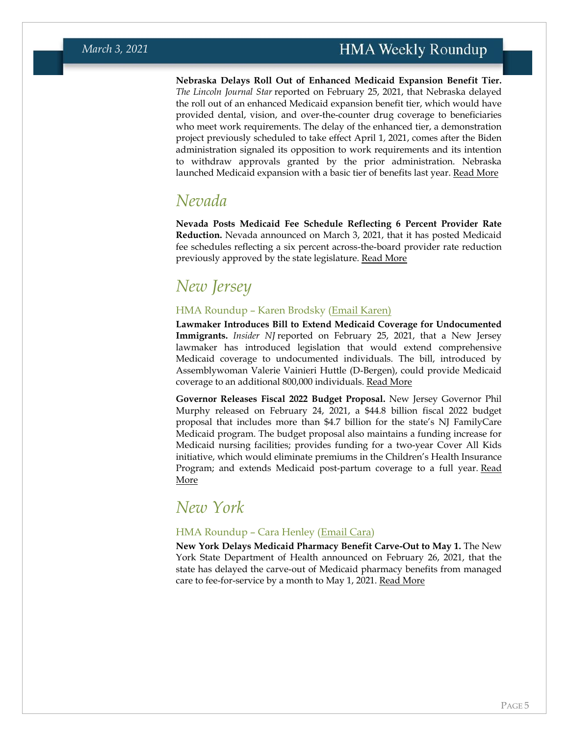**Nebraska Delays Roll Out of Enhanced Medicaid Expansion Benefit Tier.**  *The Lincoln Journal Star* reported on February 25, 2021, that Nebraska delayed the roll out of an enhanced Medicaid expansion benefit tier, which would have provided dental, vision, and over-the-counter drug coverage to beneficiaries who meet work requirements. The delay of the enhanced tier, a demonstration project previously scheduled to take effect April 1, 2021, comes after the Biden administration signaled its opposition to work requirements and its intention to withdraw approvals granted by the prior administration. Nebraska launched Medicaid expansion with a basic tier of benefits last year. [Read More](https://journalstar.com/news/state-and-regional/govt-and-politics/state-pushes-back-on-objections-to-medicaid-work-requirements/article_35eabec7-6d57-5469-a668-7e5d21daa8c5.html)

### <span id="page-4-0"></span>*Nevada*

**Nevada Posts Medicaid Fee Schedule Reflecting 6 Percent Provider Rate Reduction.** Nevada announced on March 3, 2021, that it has posted Medicaid fee schedules reflecting a six percent across-the-board provider rate reduction previously approved by the state legislature. [Read More](http://dhcfp.nv.gov/Resources/Rates/FeeSchedules/)

## *New Jersey*

#### HMA Roundup – Karen Brodsky [\(Email Karen\)](mailto:kbrodsky@healthmanagement.com)

**Lawmaker Introduces Bill to Extend Medicaid Coverage for Undocumented Immigrants.** *Insider NJ* reported on February 25, 2021, that a New Jersey lawmaker has introduced legislation that would extend comprehensive Medicaid coverage to undocumented individuals. The bill, introduced by Assemblywoman Valerie Vainieri Huttle (D-Bergen), could provide Medicaid coverage to an additional 800,000 individuals. [Read More](https://www.insidernj.com/press-release/vainieri-huttle-introduces-legislation-expand-healthcare-coverage-undocumented-immgrants/)

**Governor Releases Fiscal 2022 Budget Proposal.** New Jersey Governor Phil Murphy released on February 24, 2021, a \$44.8 billion fiscal 2022 budget proposal that includes more than \$4.7 billion for the state's NJ FamilyCare Medicaid program. The budget proposal also maintains a funding increase for Medicaid nursing facilities; provides funding for a two-year Cover All Kids initiative, which would eliminate premiums in the Children's Health Insurance Program; and extends Medicaid post-partum coverage to a full year. [Read](https://www.state.nj.us/humanservices/library/slides/Budget%20Newsletter%20FY%202022.pdf)  [More](https://www.state.nj.us/humanservices/library/slides/Budget%20Newsletter%20FY%202022.pdf)

### <span id="page-4-1"></span>*New York*

#### HMA Roundup – Cara Henley [\(Email Cara\)](mailto:chenley@healthmanagement.com)

**New York Delays Medicaid Pharmacy Benefit Carve-Out to May 1.** The New York State Department of Health announced on February 26, 2021, that the state has delayed the carve-out of Medicaid pharmacy benefits from managed care to fee-for-service by a month to May 1, 2021. [Read More](https://health.ny.gov/health_care/medicaid/redesign/mrt2/pharmacy_carve_out/docs/2021-02-26_carve_out_ffs.pdf)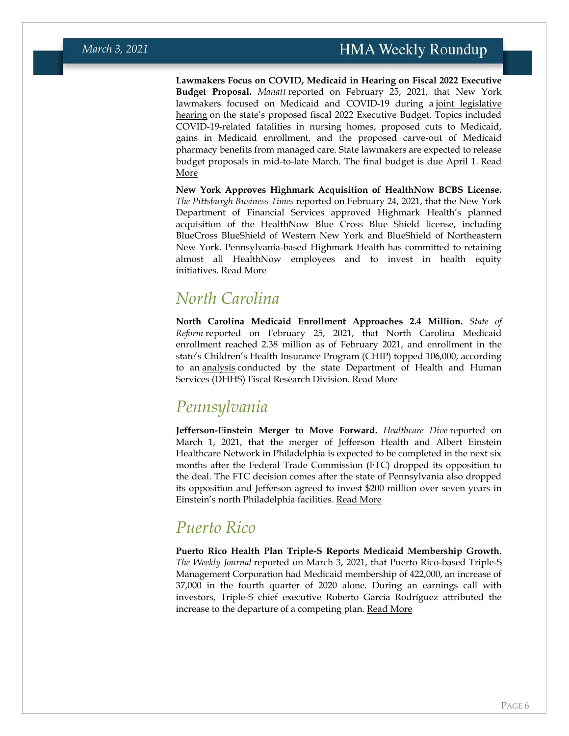**Lawmakers Focus on COVID, Medicaid in Hearing on Fiscal 2022 Executive Budget Proposal.** *Manatt* reported on February 25, 2021, that New York lawmakers focused on Medicaid and COVID-19 during a [joint legislative](https://www.nysenate.gov/calendar/public-hearings/february-25-2021/joint-legislative-public-hearing-2021-executive-budget)  [hearing](https://www.nysenate.gov/calendar/public-hearings/february-25-2021/joint-legislative-public-hearing-2021-executive-budget) on the state's proposed fiscal 2022 Executive Budget. Topics included COVID-19-related fatalities in nursing homes, proposed cuts to Medicaid, gains in Medicaid enrollment, and the proposed carve-out of Medicaid pharmacy benefits from managed care. State lawmakers are expected to release budget proposals in mid-to-late March. The final budget is due April 1. [Read](https://www.manatt.com/insights/newsletters/ny-state-government-week-in-review/new-york-state-budget-update-joint-legislative-pub)  [More](https://www.manatt.com/insights/newsletters/ny-state-government-week-in-review/new-york-state-budget-update-joint-legislative-pub)

**New York Approves Highmark Acquisition of HealthNow BCBS License.**  *The Pittsburgh Business Times* reported on February 24, 2021, that the New York Department of Financial Services approved Highmark Health's planned acquisition of the HealthNow Blue Cross Blue Shield license, including BlueCross BlueShield of Western New York and BlueShield of Northeastern New York. Pennsylvania-based Highmark Health has committed to retaining almost all HealthNow employees and to invest in health equity initiatives. [Read More](https://www.bizjournals.com/pittsburgh/news/2021/02/24/highmark-health-healthnow-affiliation.html)

### *North Carolina*

**North Carolina Medicaid Enrollment Approaches 2.4 Million.** *State of Reform* reported on February 25, 2021, that North Carolina Medicaid enrollment reached 2.38 million as of February 2021, and enrollment in the state's Children's Health Insurance Program (CHIP) topped 106,000, according to an [analysis](https://www.ncleg.gov/documentsites/committees/JointAppropriationsHHS/2021%20Session/02-25-2021/V.%20DHHS%20Overview%20for%20Jt%20HHS%20Appropriations.pdf) conducted by the state Department of Health and Human Services (DHHS) Fiscal Research Division. [Read More](https://stateofreform.com/featured/2021/02/nc-medicaid-program-currently-enrolls-2-4m/)

### *Pennsylvania*

**Jefferson-Einstein Merger to Move Forward.** *Healthcare Dive* reported on March 1, 2021, that the merger of Jefferson Health and Albert Einstein Healthcare Network in Philadelphia is expected to be completed in the next six months after the Federal Trade Commission (FTC) dropped its opposition to the deal. The FTC decision comes after the state of Pennsylvania also dropped its opposition and Jefferson agreed to invest \$200 million over seven years in Einstein's north Philadelphia facilities. [Read More](https://www.healthcaredive.com/news/ftc-abandons-challenge-to-jefferson-health-einstein-merger-allowing-deal-t/595888/)

### *Puerto Rico*

<span id="page-5-0"></span>**Puerto Rico Health Plan Triple-S Reports Medicaid Membership Growth**. *The Weekly Journal* reported on March 3, 2021, that Puerto Rico-based Triple-S Management Corporation had Medicaid membership of 422,000, an increase of 37,000 in the fourth quarter of 2020 alone. During an earnings call with investors, Triple-S chief executive Roberto García Rodríguez attributed the increase to the departure of a competing plan. [Read More](https://www.theweeklyjournal.com/business/triple-s-gains-37-000-new-medicaid-members-in-q4-2020/article_93567716-7b93-11eb-b33b-570c4e9b4829.html)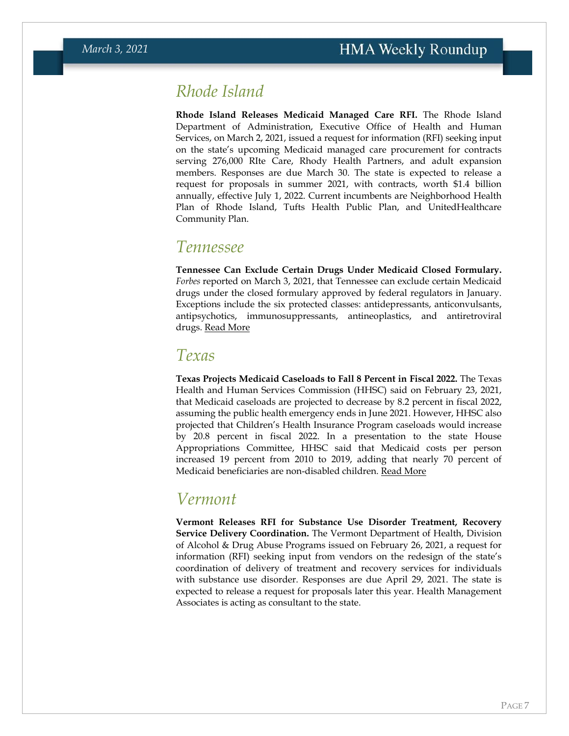### *Rhode Island*

**Rhode Island Releases Medicaid Managed Care RFI.** The Rhode Island Department of Administration, Executive Office of Health and Human Services, on March 2, 2021, issued a request for information (RFI) seeking input on the state's upcoming Medicaid managed care procurement for contracts serving 276,000 RIte Care, Rhody Health Partners, and adult expansion members. Responses are due March 30. The state is expected to release a request for proposals in summer 2021, with contracts, worth \$1.4 billion annually, effective July 1, 2022. Current incumbents are Neighborhood Health Plan of Rhode Island, Tufts Health Public Plan, and UnitedHealthcare Community Plan.

### *Tennessee*

**Tennessee Can Exclude Certain Drugs Under Medicaid Closed Formulary.**  *Forbes* reported on March 3, 2021, that Tennessee can exclude certain Medicaid drugs under the closed formulary approved by federal regulators in January. Exceptions include the six protected classes: antidepressants, anticonvulsants, antipsychotics, immunosuppressants, antineoplastics, and antiretroviral drugs. [Read More](https://www.forbes.com/sites/joshuacohen/2021/03/03/tennessees-medicaid-waiver-for-a-closed-drug-formulary-could-be-a-trendsetter/?sh=3f08d27b5f5b)

### <span id="page-6-0"></span>*Texas*

**Texas Projects Medicaid Caseloads to Fall 8 Percent in Fiscal 2022.** The Texas Health and Human Services Commission (HHSC) said on February 23, 2021, that Medicaid caseloads are projected to decrease by 8.2 percent in fiscal 2022, assuming the public health emergency ends in June 2021. However, HHSC also projected that Children's Health Insurance Program caseloads would increase by 20.8 percent in fiscal 2022. In a presentation to the state House Appropriations Committee, HHSC said that Medicaid costs per person increased 19 percent from 2010 to 2019, adding that nearly 70 percent of Medicaid beneficiaries are non-disabled children. [Read More](https://content.govdelivery.com/attachments/TXHHSC/2021/02/24/file_attachments/1705051/HHSC%20Presentation%20to%20HAC%20%2802-23-2021%29.pdf)

### <span id="page-6-1"></span>*Vermont*

<span id="page-6-2"></span>**Vermont Releases RFI for Substance Use Disorder Treatment, Recovery Service Delivery Coordination.** The Vermont Department of Health, Division of Alcohol & Drug Abuse Programs issued on February 26, 2021, a request for information (RFI) seeking input from vendors on the redesign of the state's coordination of delivery of treatment and recovery services for individuals with substance use disorder. Responses are due April 29, 2021. The state is expected to release a request for proposals later this year. Health Management Associates is acting as consultant to the state.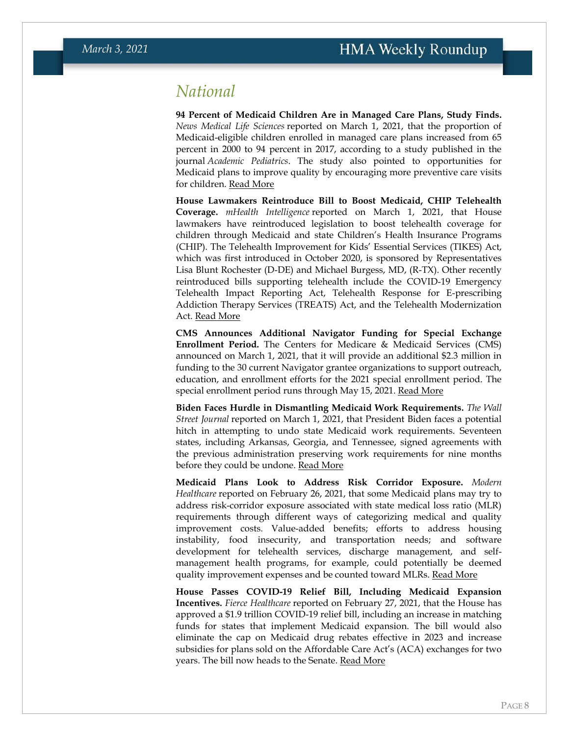### *National*

**94 Percent of Medicaid Children Are in Managed Care Plans, Study Finds.**  *News Medical Life Sciences* reported on March 1, 2021, that the proportion of Medicaid-eligible children enrolled in managed care plans increased from 65 percent in 2000 to 94 percent in 2017, according to a study published in the journal *Academic Pediatrics*. The study also pointed to opportunities for Medicaid plans to improve quality by encouraging more preventive care visits for children. [Read More](https://www.news-medical.net/news/20210301/Proportion-of-children-in-Medicaid-managed-care-plans-increases-from-6525-to-9425.aspx)

**House Lawmakers Reintroduce Bill to Boost Medicaid, CHIP Telehealth Coverage.** *mHealth Intelligence* reported on March 1, 2021, that House lawmakers have reintroduced legislation to boost telehealth coverage for children through Medicaid and state Children's Health Insurance Programs (CHIP). The Telehealth Improvement for Kids' Essential Services (TIKES) Act, which was first introduced in October 2020, is sponsored by Representatives Lisa Blunt Rochester (D-DE) and Michael Burgess, MD, (R-TX). Other recently reintroduced bills supporting telehealth include the COVID-19 Emergency Telehealth Impact Reporting Act, Telehealth Response for E-prescribing Addiction Therapy Services (TREATS) Act, and the Telehealth Modernization Act. [Read More](https://mhealthintelligence.com/news/lawmakers-resubmit-telehealth-bills-targeting-kids-health-covid-19-effects)

**CMS Announces Additional Navigator Funding for Special Exchange Enrollment Period.** The Centers for Medicare & Medicaid Services (CMS) announced on March 1, 2021, that it will provide an additional \$2.3 million in funding to the 30 current Navigator grantee organizations to support outreach, education, and enrollment efforts for the 2021 special enrollment period. The special enrollment period runs through May 15, 2021. [Read More](https://www.cms.gov/newsroom/press-releases/cms-announces-additional-navigator-funding-support-marketplace-special-enrollment-period)

**Biden Faces Hurdle in Dismantling Medicaid Work Requirements.** *The Wall Street Journal* reported on March 1, 2021, that President Biden faces a potential hitch in attempting to undo state Medicaid work requirements. Seventeen states, including Arkansas, Georgia, and Tennessee, signed agreements with the previous administration preserving work requirements for nine months before they could be undone. [Read More](https://www.wsj.com/articles/biden-administrations-plan-to-rescind-states-medicaid-work-rules-faces-temporary-hitch-11614605414)

**Medicaid Plans Look to Address Risk Corridor Exposure.** *Modern Healthcare* reported on February 26, 2021, that some Medicaid plans may try to address risk-corridor exposure associated with state medical loss ratio (MLR) requirements through different ways of categorizing medical and quality improvement costs. Value-added benefits; efforts to address housing instability, food insecurity, and transportation needs; and software development for telehealth services, discharge management, and selfmanagement health programs, for example, could potentially be deemed quality improvement expenses and be counted toward MLRs. [Read More](https://www.modernhealthcare.com/insurance/high-mlrs-inspire-insurers-focus-quality-improvements)

**House Passes COVID-19 Relief Bill, Including Medicaid Expansion Incentives.** *Fierce Healthcare* reported on February 27, 2021, that the House has approved a \$1.9 trillion COVID-19 relief bill, including an increase in matching funds for states that implement Medicaid expansion. The bill would also eliminate the cap on Medicaid drug rebates effective in 2023 and increase subsidies for plans sold on the Affordable Care Act's (ACA) exchanges for two years. The bill now heads to the Senate. [Read More](https://www.fiercehealthcare.com/payer/house-passes-1-9t-covid-19-relief-package-temporarily-boosts-aca-subsidies-expands-medicaid)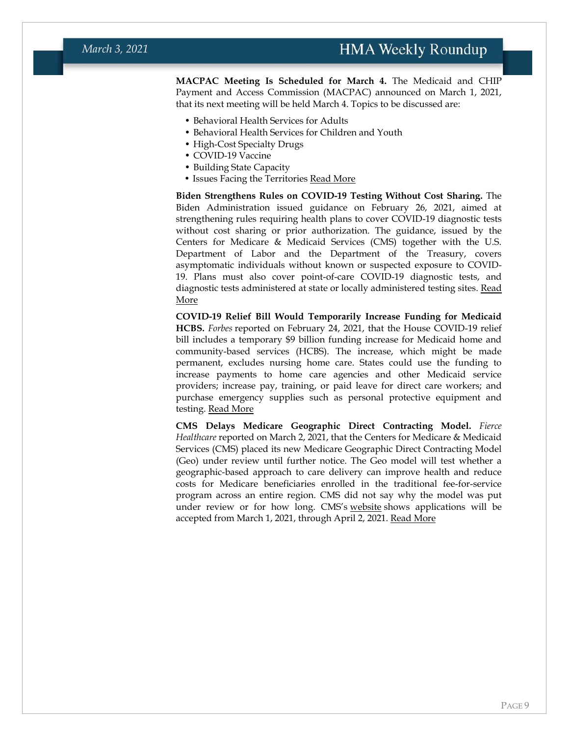**MACPAC Meeting Is Scheduled for March 4.** The Medicaid and CHIP Payment and Access Commission (MACPAC) announced on March 1, 2021, that its next meeting will be held March 4. Topics to be discussed are:

- Behavioral Health Services for Adults
- Behavioral Health Services for Children and Youth
- High-Cost Specialty Drugs
- COVID-19 Vaccine
- Building State Capacity
- Issues Facing the Territories [Read More](https://www.macpac.gov/public_meeting/march-2021-macpac-public-meeting/)

**Biden Strengthens Rules on COVID-19 Testing Without Cost Sharing.** The Biden Administration issued guidance on February 26, 2021, aimed at strengthening rules requiring health plans to cover COVID-19 diagnostic tests without cost sharing or prior authorization. The guidance, issued by the Centers for Medicare & Medicaid Services (CMS) together with the U.S. Department of Labor and the Department of the Treasury, covers asymptomatic individuals without known or suspected exposure to COVID-19. Plans must also cover point-of-care COVID-19 diagnostic tests, and diagnostic tests administered at state or locally administered testing sites. [Read](https://www.cms.gov/newsroom/press-releases/biden-administration-strengthens-requirements-plans-and-issuers-cover-covid-19-diagnostic-testing)  [More](https://www.cms.gov/newsroom/press-releases/biden-administration-strengthens-requirements-plans-and-issuers-cover-covid-19-diagnostic-testing)

**COVID-19 Relief Bill Would Temporarily Increase Funding for Medicaid HCBS.** *Forbes* reported on February 24, 2021, that the House COVID-19 relief bill includes a temporary \$9 billion funding increase for Medicaid home and community-based services (HCBS). The increase, which might be made permanent, excludes nursing home care. States could use the funding to increase payments to home care agencies and other Medicaid service providers; increase pay, training, or paid leave for direct care workers; and purchase emergency supplies such as personal protective equipment and testing. [Read More](https://www.forbes.com/sites/howardgleckman/2021/02/24/is-the-shift-of-medicaid-long-term-care-from-nursing-facilities-to-home-about-to-accelerate/?sh=7e501b7e1e25)

**CMS Delays Medicare Geographic Direct Contracting Model.** *Fierce Healthcare* reported on March 2, 2021, that the Centers for Medicare & Medicaid Services (CMS) placed its new Medicare Geographic Direct Contracting Model (Geo) under review until further notice. The Geo model will test whether a geographic-based approach to care delivery can improve health and reduce costs for Medicare beneficiaries enrolled in the traditional fee-for-service program across an entire region. CMS did not say why the model was put under review or for how long. CMS's [website](https://innovation.cms.gov/innovation-models/geographic-direct-contracting-model) shows applications will be accepted from March 1, 2021, through April 2, 2021. [Read More](https://hmais.healthmanagement.com/news/cms-delays-medicare-geographic-direct-contracting-model/)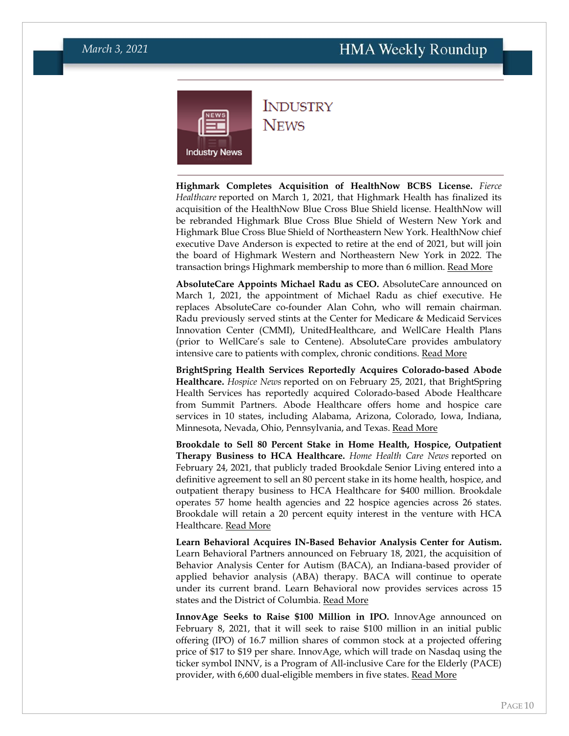<span id="page-9-0"></span>

### **INDUSTRY NEWS**

**Highmark Completes Acquisition of HealthNow BCBS License.** *Fierce Healthcare* reported on March 1, 2021, that Highmark Health has finalized its acquisition of the HealthNow Blue Cross Blue Shield license. HealthNow will be rebranded Highmark Blue Cross Blue Shield of Western New York and Highmark Blue Cross Blue Shield of Northeastern New York. HealthNow chief executive Dave Anderson is expected to retire at the end of 2021, but will join the board of Highmark Western and Northeastern New York in 2022. The transaction brings Highmark membership to more than 6 million. [Read More](https://www.fiercehealthcare.com/payer/highmark-healthnow-new-york-complete-affiliation)

**AbsoluteCare Appoints Michael Radu as CEO.** AbsoluteCare announced on March 1, 2021, the appointment of Michael Radu as chief executive. He replaces AbsoluteCare co-founder Alan Cohn, who will remain chairman. Radu previously served stints at the Center for Medicare & Medicaid Services Innovation Center (CMMI), UnitedHealthcare, and WellCare Health Plans (prior to WellCare's sale to Centene). AbsoluteCare provides ambulatory intensive care to patients with complex, chronic conditions. [Read More](https://www.absolutecare.com/absolutecare-announces-michael-p-radu-as-ceo/)

**BrightSpring Health Services Reportedly Acquires Colorado-based Abode Healthcare.** *Hospice News* reported on on February 25, 2021, that BrightSpring Health Services has reportedly acquired Colorado-based Abode Healthcare from Summit Partners. Abode Healthcare offers home and hospice care services in 10 states, including Alabama, Arizona, Colorado, Iowa, Indiana, Minnesota, Nevada, Ohio, Pennsylvania, and Texas. [Read More](https://hospicenews.com/2021/02/24/brightspring-moves-into-hospice-space-with-abode-healthcare-acquisition/)

**Brookdale to Sell 80 Percent Stake in Home Health, Hospice, Outpatient Therapy Business to HCA Healthcare.** *Home Health Care News* reported on February 24, 2021, that publicly traded Brookdale Senior Living entered into a definitive agreement to sell an 80 percent stake in its home health, hospice, and outpatient therapy business to HCA Healthcare for \$400 million. Brookdale operates 57 home health agencies and 22 hospice agencies across 26 states. Brookdale will retain a 20 percent equity interest in the venture with HCA Healthcare. [Read More](https://homehealthcarenews.com/2021/02/brookdale-selling-majority-stake-in-home-health-business-to-hca-healthcare/)

**Learn Behavioral Acquires IN-Based Behavior Analysis Center for Autism.**  Learn Behavioral Partners announced on February 18, 2021, the acquisition of Behavior Analysis Center for Autism (BACA), an Indiana-based provider of applied behavior analysis (ABA) therapy. BACA will continue to operate under its current brand. Learn Behavioral now provides services across 15 states and the District of Columbia. [Read More](https://www.learnbehavioral.com/news/2021/2/18/learn-behavioral-partners-with-indiana-based-behavior-analysis-center-for-autism)

**InnovAge Seeks to Raise \$100 Million in IPO.** InnovAge announced on February 8, 2021, that it will seek to raise \$100 million in an initial public offering (IPO) of 16.7 million shares of common stock at a projected offering price of \$17 to \$19 per share. InnovAge, which will trade on Nasdaq using the ticker symbol INNV, is a Program of All-inclusive Care for the Elderly (PACE) provider, with 6,600 dual-eligible members in five states. [Read More](https://www.nasdaq.com/articles/senior-care-provider-innovage-holding-files-for-a-%24100-million-ipo-2021-02-08)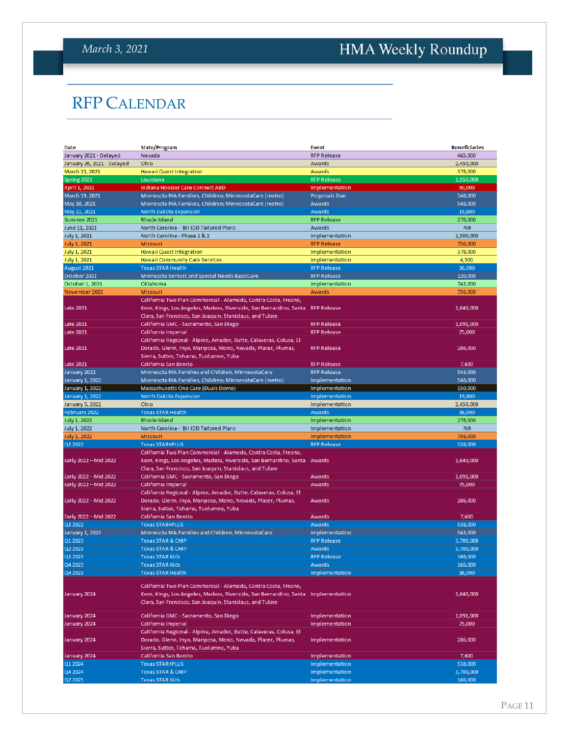## <span id="page-10-0"></span>HMA Weekly Roundup

## RFP CALENDAR

| Date                       | <b>State/Program</b>                                                           | <b>Event</b>         | <b>Beneficiaries</b> |
|----------------------------|--------------------------------------------------------------------------------|----------------------|----------------------|
| January 2021 - Delayed     | Nevada                                                                         | <b>RFP Release</b>   | 465,000              |
| January 26, 2021 - Delayed | Ohio                                                                           | Awards               | 2,450,000            |
| March 15, 2021             | <b>Hawaii Quest Integration</b>                                                | Awards               | 378,000              |
| Spring 2021                | Louisiana                                                                      | <b>RFP Release</b>   | 1,550,000            |
| April 1, 2021              | <b>Indiana Hoosier Care Connect ABD</b>                                        | Implementation       | 90,000               |
| March 19, 2021             | Minnesota MA Families, Children; MinnesotaCare (metro)                         | <b>Proposals Due</b> | 548,000              |
| May 10, 2021               | Minnesota MA Families, Children; MinnesotaCare (metro)                         | Awards               | 548.000              |
| May 21, 2021               | North Dakota Expansion                                                         | Awards               | 19,800               |
| Summer 2021                | Rhode Island                                                                   | <b>RFP Release</b>   | 276,000              |
| June 11, 2021              | North Carolina - BH IDD Tailored Plans                                         | Awards               | <b>NA</b>            |
| July 1, 2021               | North Carolina - Phase 1 & 2                                                   | Implementation       | 1,500,000            |
| July 1, 2021               | <b>Missouri</b>                                                                | <b>RFP Release</b>   | 756,000              |
| <b>July 1, 2021</b>        | Hawaii Quest Integration                                                       | Implementation       | 378,000              |
| July 1, 2021               | <b>Hawaii Community Care Services</b>                                          | Implementation       | 4,500                |
| August 2021                | <b>Texas STAR Health</b>                                                       | <b>RFP Release</b>   | 36,500               |
| October 2021               | Minnesota Seniors and Special Needs BasicCare                                  | <b>RFP Release</b>   | 120,000              |
| October 1, 2021            | Oklahoma                                                                       | Implementation       | 742,000              |
| November 2021              | Missouri                                                                       | Awards               | 756,000              |
|                            | California Two Plan Commercial - Alameda, Contra Costa, Fresno,                |                      |                      |
|                            |                                                                                |                      |                      |
| <b>Late 2021</b>           | Kern, Kings, Los Angeles, Madera, Riverside, San Bernardino, Santa RFP Release |                      | 1,640,000            |
|                            | Clara, San Francisco, San Joaquin, Stanislaus, and Tulare                      |                      |                      |
| Late 2021                  | California GMC - Sacramento, San Diego                                         | <b>RFP Release</b>   | 1,091,000            |
| Late 2021                  | California Imperial                                                            | <b>RFP Release</b>   | 75,000               |
|                            | California Regional - Alpine, Amador, Butte, Calaveras, Colusa, El             |                      |                      |
| Late 2021                  | Dorado, Glenn, Inyo, Mariposa, Mono, Nevada, Placer, Plumas,                   | <b>RFP Release</b>   | 286,000              |
|                            | Sierra, Sutter, Tehama, Tuolumne, Yuba                                         |                      |                      |
| <b>Late 2021</b>           | California San Benito                                                          | <b>RFP Release</b>   | 7,600                |
| January 2022               | Minnesota MA Families and Children, MinnesotaCare                              | <b>RFP Release</b>   | 543,000              |
| January 1, 2022            | Minnesota MA Families, Children; MinnesotaCare (metro)                         | Implementation       | 548,000              |
| January 1, 2022            | Massachusetts One Care (Duals Demo)                                            | Implementation       | 150,000              |
| January 1, 2022            | North Dakota Expansion                                                         | Implementation       | 19,800               |
| January 5, 2022            | Ohio                                                                           | Implementation       | 2,450,000            |
|                            |                                                                                |                      |                      |
| February 2022              | <b>Texas STAR Health</b>                                                       | Awards               | 36,500               |
| July 1, 2022               | Rhode Island                                                                   | Implementation       | 276,000              |
| <b>July 1, 2022</b>        | North Carolina - BH IDD Tailored Plans                                         | Implementation       | <b>NA</b>            |
| July 1, 2022               | Missouri                                                                       | Implementation       | 756,000              |
| Q2 2022                    | <b>Texas STAR+PLUS</b>                                                         | <b>RFP Release</b>   | 538,000              |
|                            | California Two Plan Commercial - Alameda, Contra Costa, Fresno,                |                      |                      |
| Early 2022 - Mid 2022      | Kern, Kings, Los Angeles, Madera, Riverside, San Bernardino, Santa             | Awards               | 1,640,000            |
|                            | Clara, San Francisco, San Joaquin, Stanislaus, and Tulare                      |                      |                      |
| Early 2022 - Mid 2022      | California GMC - Sacramento, San Diego                                         | Awards               | 1,091,000            |
|                            | California Imperial                                                            | Awards               |                      |
| Early 2022 - Mid 2022      |                                                                                |                      | 75,000               |
|                            | California Regional - Alpine, Amador, Butte, Calaveras, Colusa, El             |                      |                      |
| Early 2022 - Mid 2022      | Dorado, Glenn, Inyo, Mariposa, Mono, Nevada, Placer, Plumas,                   | Awards               | 286,000              |
|                            | Sierra, Sutter, Tehama, Tuolumne, Yuba                                         |                      |                      |
| Early 2022 - Mid 2022      | California San Benito                                                          | Awards               | 7,600                |
| Q3 2022                    | <b>Texas STAR+PLUS</b>                                                         | Awards               | 538,000              |
| January 1, 2023            | Minnesota MA Families and Children, MinnesotaCare                              | Implementation       | 543,000              |
| Q1 2023                    | <b>Texas STAR &amp; CHIP</b>                                                   | <b>RFP Release</b>   | 3,700,000            |
| Q2 2023                    | <b>Texas STAR &amp; CHIP</b>                                                   | Awards               | 3.700.000            |
| Q3 2023                    | <b>Texas STAR Kids</b>                                                         | <b>RFP Release</b>   | 166,000              |
| Q4 2023                    | <b>Texas STAR Kids</b>                                                         | Awards               | 166,000              |
| Q4 2023                    | <b>Texas STAR Health</b>                                                       | Implementation       | 36,500               |
|                            |                                                                                |                      |                      |
|                            | California Two Plan Commercial - Alameda, Contra Costa, Fresno,                |                      |                      |
| January 2024               | Kern, Kings, Los Angeles, Madera, Riverside, San Bernardino, Santa             | Implementation       | 1,640,000            |
|                            | Clara, San Francisco, San Joaquin, Stanislaus, and Tulare                      |                      |                      |
| January 2024               | California GMC - Sacramento, San Diego                                         | Implementation       | 1,091,000            |
| January 2024               | California Imperial                                                            | Implementation       | 75,000               |
|                            | California Regional - Alpine, Amador, Butte, Calaveras, Colusa, El             |                      |                      |
| January 2024               | Dorado, Glenn, Inyo, Mariposa, Mono, Nevada, Placer, Plumas,                   | Implementation       | 286,000              |
|                            | Sierra, Sutter, Tehama, Tuolumne, Yuba                                         |                      |                      |
| January 2024               | California San Benito                                                          | Implementation       | 7,600                |
| Q1 2024                    | <b>Texas STAR+PLUS</b>                                                         | Implementation       | 538,000              |
| Q4 2024                    | <b>Texas STAR &amp; CHIP</b>                                                   | Implementation       | 3,700,000            |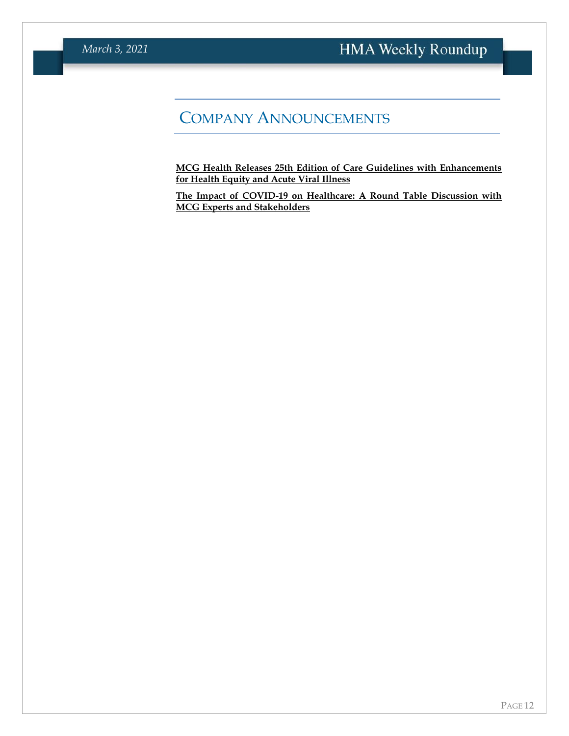## COMPANY ANNOUNCEMENTS

**MCG Health Releases 25th Edition of Care Guidelines with Enhancements for Health Equity and Acute Viral Illness**

**[The Impact of COVID-19 on Healthcare: A Round Table Discussion with](https://www.mcg.com/client-resources/news-item/mcg-releases-25th-edition-of-care-guidelines-health-equity-and-acute-viral-illness/?utm_source=hma&utm_medium=membership&utm_campaign=press-release-2021&utm_content=ga-25th-edition)  [MCG Experts and Stakeholders](https://www.mcg.com/client-resources/news-item/mcg-releases-25th-edition-of-care-guidelines-health-equity-and-acute-viral-illness/?utm_source=hma&utm_medium=membership&utm_campaign=press-release-2021&utm_content=ga-25th-edition)**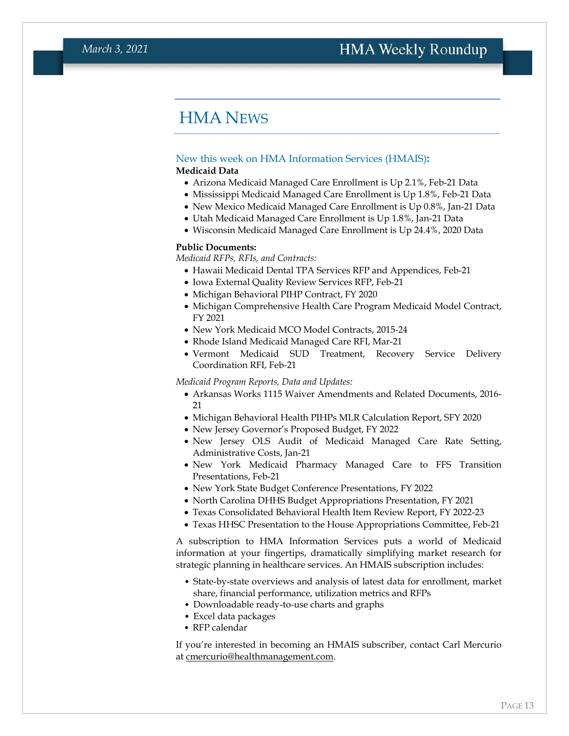### <span id="page-12-0"></span>HMA NEWS

#### New this week on HMA Information Services (HMAIS)**:**

#### <span id="page-12-1"></span>**Medicaid Data**

- Arizona Medicaid Managed Care Enrollment is Up 2.1%, Feb-21 Data
- Mississippi Medicaid Managed Care Enrollment is Up 1.8%, Feb-21 Data
- New Mexico Medicaid Managed Care Enrollment is Up 0.8%, Jan-21 Data
- Utah Medicaid Managed Care Enrollment is Up 1.8%, Jan-21 Data
- Wisconsin Medicaid Managed Care Enrollment is Up 24.4%, 2020 Data

#### **Public Documents:**

*Medicaid RFPs, RFIs, and Contracts:*

- Hawaii Medicaid Dental TPA Services RFP and Appendices, Feb-21
- Iowa External Quality Review Services RFP, Feb-21
- Michigan Behavioral PIHP Contract, FY 2020
- Michigan Comprehensive Health Care Program Medicaid Model Contract, FY 2021
- New York Medicaid MCO Model Contracts, 2015-24
- Rhode Island Medicaid Managed Care RFI, Mar-21
- Vermont Medicaid SUD Treatment, Recovery Service Delivery Coordination RFI, Feb-21

*Medicaid Program Reports, Data and Updates:*

- Arkansas Works 1115 Waiver Amendments and Related Documents, 2016- 21
- Michigan Behavioral Health PIHPs MLR Calculation Report, SFY 2020
- New Jersey Governor's Proposed Budget, FY 2022
- New Jersey OLS Audit of Medicaid Managed Care Rate Setting, Administrative Costs, Jan-21
- New York Medicaid Pharmacy Managed Care to FFS Transition Presentations, Feb-21
- New York State Budget Conference Presentations, FY 2022
- North Carolina DHHS Budget Appropriations Presentation, FY 2021
- Texas Consolidated Behavioral Health Item Review Report, FY 2022-23
- Texas HHSC Presentation to the House Appropriations Committee, Feb-21

A subscription to HMA Information Services puts a world of Medicaid information at your fingertips, dramatically simplifying market research for strategic planning in healthcare services. An HMAIS subscription includes:

- State-by-state overviews and analysis of latest data for enrollment, market share, financial performance, utilization metrics and RFPs
- Downloadable ready-to-use charts and graphs
- Excel data packages
- RFP calendar

If you're interested in becoming an HMAIS subscriber, contact Carl Mercurio at [cmercurio@healthmanagement.com.](mailto:cmercurio@healthmanagement.com)